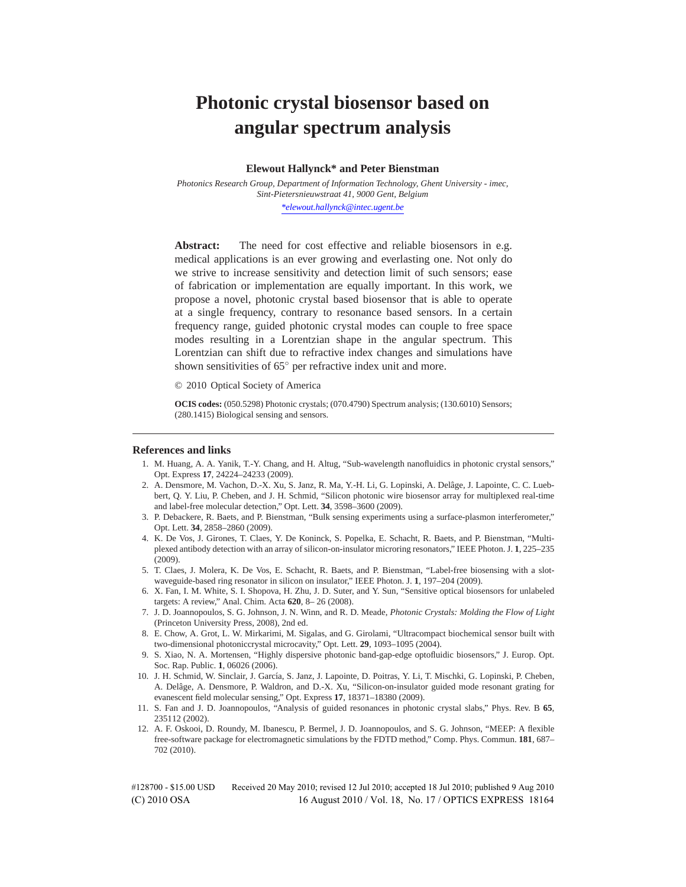# **Photonic crystal biosensor based on angular spectrum analysis**

**Elewout Hallynck\* and Peter Bienstman**

*Photonics Research Group, Department of Information Technology, Ghent University - imec, Sint-Pietersnieuwstraat 41, 9000 Gent, Belgium \*elewout.hallynck@intec.ugent.be*

Abstract: The need for cost effective and reliable biosensors in e.g. medical applications is an ever growing and everlasting one. Not only do we strive to increase sensitivity and detection limit of such sensors; ease of fabrication or implementation are equally important. In this work, we propose a novel, photonic crystal based biosensor that is able to operate at a single frequency, contrary to resonance based sensors. In a certain frequency range, guided photonic crystal modes can couple to free space modes resulting in a Lorentzian shape in the angular spectrum. This Lorentzian can shift due to refractive index changes and simulations have shown sensitivities of 65° per refractive index unit and more.

© 2010 Optical Society of America

**OCIS codes:** (050.5298) Photonic crystals; (070.4790) Spectrum analysis; (130.6010) Sensors; (280.1415) Biological sensing and sensors.

### **References and links**

- 1. M. Huang, A. A. Yanik, T.-Y. Chang, and H. Altug, "Sub-wavelength nanofluidics in photonic crystal sensors," Opt. Express **17**, 24224–24233 (2009).
- 2. A. Densmore, M. Vachon, D.-X. Xu, S. Janz, R. Ma, Y.-H. Li, G. Lopinski, A. Delâge, J. Lapointe, C. C. Luebbert, Q. Y. Liu, P. Cheben, and J. H. Schmid, "Silicon photonic wire biosensor array for multiplexed real-time and label-free molecular detection," Opt. Lett. **34**, 3598–3600 (2009).
- 3. P. Debackere, R. Baets, and P. Bienstman, "Bulk sensing experiments using a surface-plasmon interferometer," Opt. Lett. **34**, 2858–2860 (2009).
- 4. K. De Vos, J. Girones, T. Claes, Y. De Koninck, S. Popelka, E. Schacht, R. Baets, and P. Bienstman, "Multiplexed antibody detection with an array of silicon-on-insulator microring resonators," IEEE Photon. J. **1**, 225–235 (2009).
- 5. T. Claes, J. Molera, K. De Vos, E. Schacht, R. Baets, and P. Bienstman, "Label-free biosensing with a slotwaveguide-based ring resonator in silicon on insulator," IEEE Photon. J. **1**, 197–204 (2009).
- 6. X. Fan, I. M. White, S. I. Shopova, H. Zhu, J. D. Suter, and Y. Sun, "Sensitive optical biosensors for unlabeled targets: A review," Anal. Chim. Acta **620**, 8– 26 (2008).
- 7. J. D. Joannopoulos, S. G. Johnson, J. N. Winn, and R. D. Meade, *Photonic Crystals: Molding the Flow of Light* (Princeton University Press, 2008), 2nd ed.
- 8. E. Chow, A. Grot, L. W. Mirkarimi, M. Sigalas, and G. Girolami, "Ultracompact biochemical sensor built with two-dimensional photoniccrystal microcavity," Opt. Lett. **29**, 1093–1095 (2004).
- 9. S. Xiao, N. A. Mortensen, "Highly dispersive photonic band-gap-edge optofluidic biosensors," J. Europ. Opt. Soc. Rap. Public. **1**, 06026 (2006).
- 10. J. H. Schmid, W. Sinclair, J. García, S. Janz, J. Lapointe, D. Poitras, Y. Li, T. Mischki, G. Lopinski, P. Cheben, A. Delâge, A. Densmore, P. Waldron, and D.-X. Xu, "Silicon-on-insulator guided mode resonant grating for evanescent field molecular sensing," Opt. Express **17**, 18371–18380 (2009).
- 11. S. Fan and J. D. Joannopoulos, "Analysis of guided resonances in photonic crystal slabs," Phys. Rev. B **65**, 235112 (2002).
- 12. A. F. Oskooi, D. Roundy, M. Ibanescu, P. Bermel, J. D. Joannopoulos, and S. G. Johnson, "MEEP: A flexible free-software package for electromagnetic simulations by the FDTD method," Comp. Phys. Commun. **181**, 687– 702 (2010).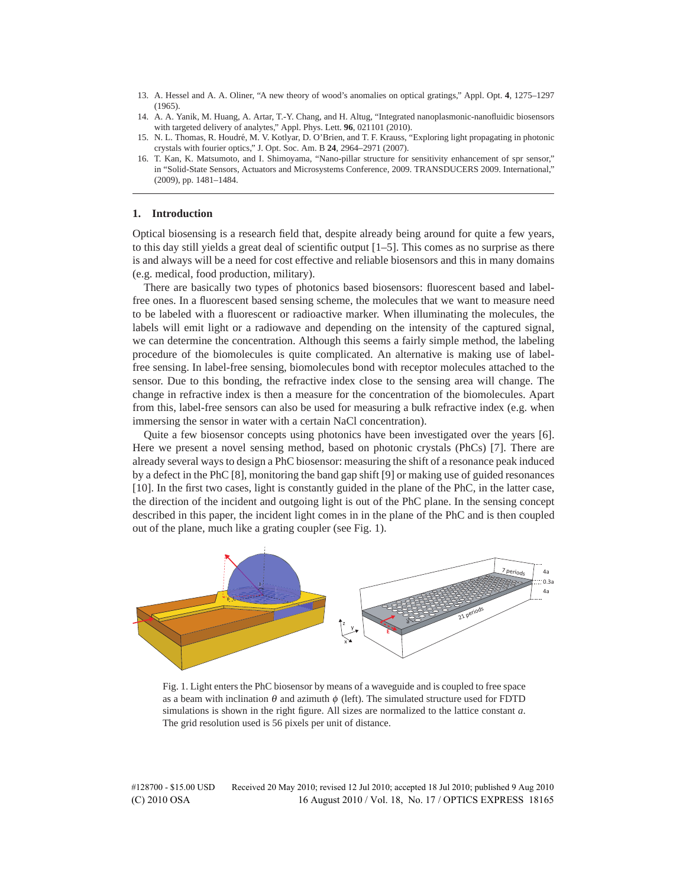- 13. A. Hessel and A. A. Oliner, "A new theory of wood's anomalies on optical gratings," Appl. Opt. **4**, 1275–1297 (1965).
- 14. A. A. Yanik, M. Huang, A. Artar, T.-Y. Chang, and H. Altug, "Integrated nanoplasmonic-nanofluidic biosensors with targeted delivery of analytes," Appl. Phys. Lett. **96**, 021101 (2010).
- 15. N. L. Thomas, R. Houdre, M. V. Kotlyar, D. O'Brien, and T. F. Krauss, "Exploring light propagating in photonic ´ crystals with fourier optics," J. Opt. Soc. Am. B **24**, 2964–2971 (2007).
- 16. T. Kan, K. Matsumoto, and I. Shimoyama, "Nano-pillar structure for sensitivity enhancement of spr sensor," in "Solid-State Sensors, Actuators and Microsystems Conference, 2009. TRANSDUCERS 2009. International," (2009), pp. 1481–1484.

# **1. Introduction**

Optical biosensing is a research field that, despite already being around for quite a few years, to this day still yields a great deal of scientific output [1–5]. This comes as no surprise as there is and always will be a need for cost effective and reliable biosensors and this in many domains (e.g. medical, food production, military).

There are basically two types of photonics based biosensors: fluorescent based and labelfree ones. In a fluorescent based sensing scheme, the molecules that we want to measure need to be labeled with a fluorescent or radioactive marker. When illuminating the molecules, the labels will emit light or a radiowave and depending on the intensity of the captured signal, we can determine the concentration. Although this seems a fairly simple method, the labeling procedure of the biomolecules is quite complicated. An alternative is making use of labelfree sensing. In label-free sensing, biomolecules bond with receptor molecules attached to the sensor. Due to this bonding, the refractive index close to the sensing area will change. The change in refractive index is then a measure for the concentration of the biomolecules. Apart from this, label-free sensors can also be used for measuring a bulk refractive index (e.g. when immersing the sensor in water with a certain NaCl concentration).

Quite a few biosensor concepts using photonics have been investigated over the years [6]. Here we present a novel sensing method, based on photonic crystals (PhCs) [7]. There are already several ways to design a PhC biosensor: measuring the shift of a resonance peak induced by a defect in the PhC [8], monitoring the band gap shift [9] or making use of guided resonances [10]. In the first two cases, light is constantly guided in the plane of the PhC, in the latter case, the direction of the incident and outgoing light is out of the PhC plane. In the sensing concept described in this paper, the incident light comes in in the plane of the PhC and is then coupled out of the plane, much like a grating coupler (see Fig. 1).



Fig. 1. Light enters the PhC biosensor by means of a waveguide and is coupled to free space as a beam with inclination  $\theta$  and azimuth  $\phi$  (left). The simulated structure used for FDTD simulations is shown in the right figure. All sizes are normalized to the lattice constant *a*. The grid resolution used is 56 pixels per unit of distance.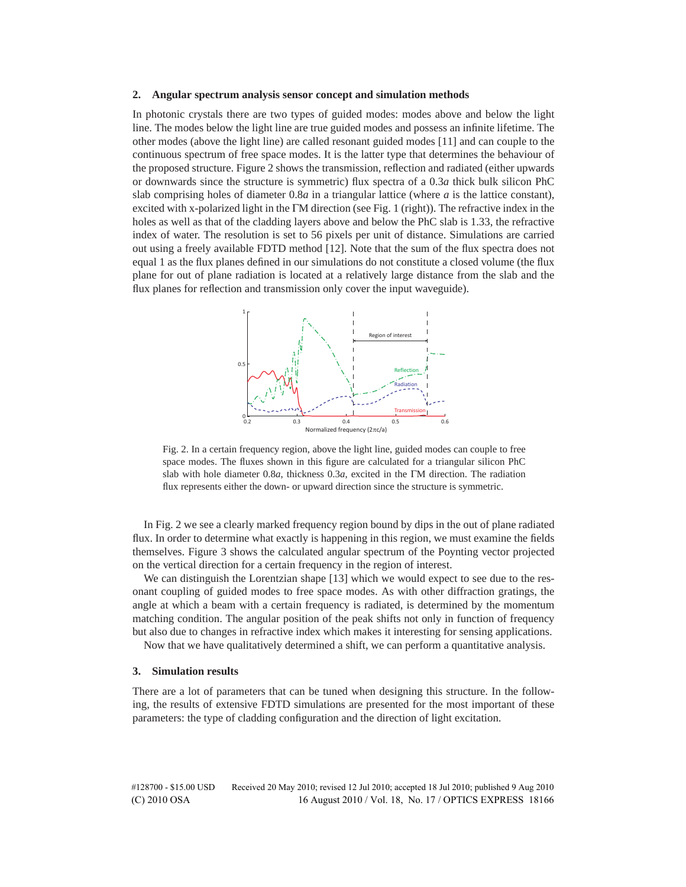### **2. Angular spectrum analysis sensor concept and simulation methods**

In photonic crystals there are two types of guided modes: modes above and below the light line. The modes below the light line are true guided modes and possess an infinite lifetime. The other modes (above the light line) are called resonant guided modes [11] and can couple to the continuous spectrum of free space modes. It is the latter type that determines the behaviour of the proposed structure. Figure 2 shows the transmission, reflection and radiated (either upwards or downwards since the structure is symmetric) flux spectra of a 0.3*a* thick bulk silicon PhC slab comprising holes of diameter 0.8*a* in a triangular lattice (where *a* is the lattice constant), excited with x-polarized light in the ΓM direction (see Fig. 1 (right)). The refractive index in the holes as well as that of the cladding layers above and below the PhC slab is 1.33, the refractive index of water. The resolution is set to 56 pixels per unit of distance. Simulations are carried out using a freely available FDTD method [12]. Note that the sum of the flux spectra does not equal 1 as the flux planes defined in our simulations do not constitute a closed volume (the flux plane for out of plane radiation is located at a relatively large distance from the slab and the flux planes for reflection and transmission only cover the input waveguide).



Fig. 2. In a certain frequency region, above the light line, guided modes can couple to free space modes. The fluxes shown in this figure are calculated for a triangular silicon PhC slab with hole diameter 0.8*a*, thickness 0.3*a*, excited in the ΓM direction. The radiation flux represents either the down- or upward direction since the structure is symmetric.

In Fig. 2 we see a clearly marked frequency region bound by dips in the out of plane radiated flux. In order to determine what exactly is happening in this region, we must examine the fields themselves. Figure 3 shows the calculated angular spectrum of the Poynting vector projected on the vertical direction for a certain frequency in the region of interest.

We can distinguish the Lorentzian shape [13] which we would expect to see due to the resonant coupling of guided modes to free space modes. As with other diffraction gratings, the angle at which a beam with a certain frequency is radiated, is determined by the momentum matching condition. The angular position of the peak shifts not only in function of frequency but also due to changes in refractive index which makes it interesting for sensing applications.

Now that we have qualitatively determined a shift, we can perform a quantitative analysis.

# **3. Simulation results**

There are a lot of parameters that can be tuned when designing this structure. In the following, the results of extensive FDTD simulations are presented for the most important of these parameters: the type of cladding configuration and the direction of light excitation.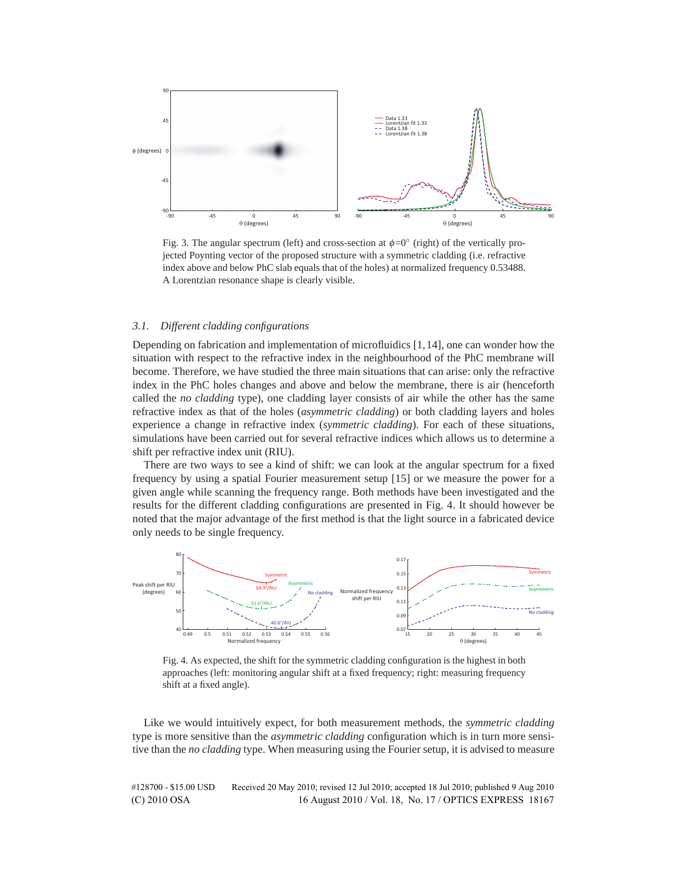

Fig. 3. The angular spectrum (left) and cross-section at  $\phi = 0^\circ$  (right) of the vertically projected Poynting vector of the proposed structure with a symmetric cladding (i.e. refractive index above and below PhC slab equals that of the holes) at normalized frequency 0.53488. A Lorentzian resonance shape is clearly visible.

# *3.1. Different cladding configurations*

Depending on fabrication and implementation of microfluidics [1,14], one can wonder how the situation with respect to the refractive index in the neighbourhood of the PhC membrane will become. Therefore, we have studied the three main situations that can arise: only the refractive index in the PhC holes changes and above and below the membrane, there is air (henceforth called the *no cladding* type), one cladding layer consists of air while the other has the same refractive index as that of the holes (*asymmetric cladding*) or both cladding layers and holes experience a change in refractive index (*symmetric cladding*). For each of these situations, simulations have been carried out for several refractive indices which allows us to determine a shift per refractive index unit (RIU).

There are two ways to see a kind of shift: we can look at the angular spectrum for a fixed frequency by using a spatial Fourier measurement setup [15] or we measure the power for a given angle while scanning the frequency range. Both methods have been investigated and the results for the different cladding configurations are presented in Fig. 4. It should however be noted that the major advantage of the first method is that the light source in a fabricated device only needs to be single frequency.



Fig. 4. As expected, the shift for the symmetric cladding configuration is the highest in both approaches (left: monitoring angular shift at a fixed frequency; right: measuring frequency shift at a fixed angle).

Like we would intuitively expect, for both measurement methods, the *symmetric cladding* type is more sensitive than the *asymmetric cladding* configuration which is in turn more sensitive than the *no cladding* type. When measuring using the Fourier setup, it is advised to measure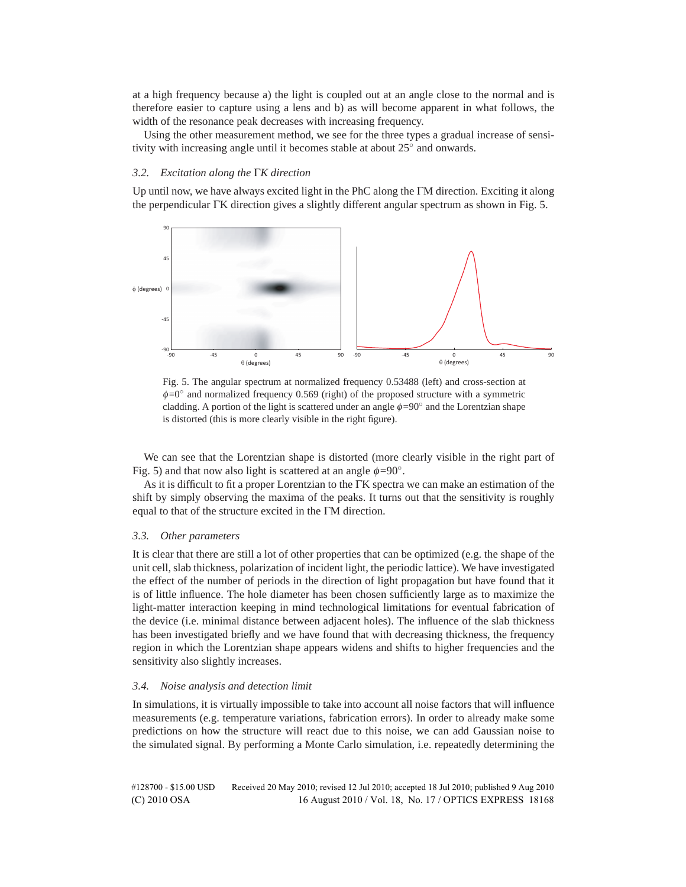at a high frequency because a) the light is coupled out at an angle close to the normal and is therefore easier to capture using a lens and b) as will become apparent in what follows, the width of the resonance peak decreases with increasing frequency.

Using the other measurement method, we see for the three types a gradual increase of sensitivity with increasing angle until it becomes stable at about 25◦ and onwards.

# *3.2. Excitation along the* Γ*K direction*

Up until now, we have always excited light in the PhC along the ΓM direction. Exciting it along the perpendicular ΓK direction gives a slightly different angular spectrum as shown in Fig. 5.





We can see that the Lorentzian shape is distorted (more clearly visible in the right part of Fig. 5) and that now also light is scattered at an angle  $\phi = 90^\circ$ .

As it is difficult to fit a proper Lorentzian to the ΓK spectra we can make an estimation of the shift by simply observing the maxima of the peaks. It turns out that the sensitivity is roughly equal to that of the structure excited in the ΓM direction.

# *3.3. Other parameters*

It is clear that there are still a lot of other properties that can be optimized (e.g. the shape of the unit cell, slab thickness, polarization of incident light, the periodic lattice). We have investigated the effect of the number of periods in the direction of light propagation but have found that it is of little influence. The hole diameter has been chosen sufficiently large as to maximize the light-matter interaction keeping in mind technological limitations for eventual fabrication of the device (i.e. minimal distance between adjacent holes). The influence of the slab thickness has been investigated briefly and we have found that with decreasing thickness, the frequency region in which the Lorentzian shape appears widens and shifts to higher frequencies and the sensitivity also slightly increases.

# *3.4. Noise analysis and detection limit*

In simulations, it is virtually impossible to take into account all noise factors that will influence measurements (e.g. temperature variations, fabrication errors). In order to already make some predictions on how the structure will react due to this noise, we can add Gaussian noise to the simulated signal. By performing a Monte Carlo simulation, i.e. repeatedly determining the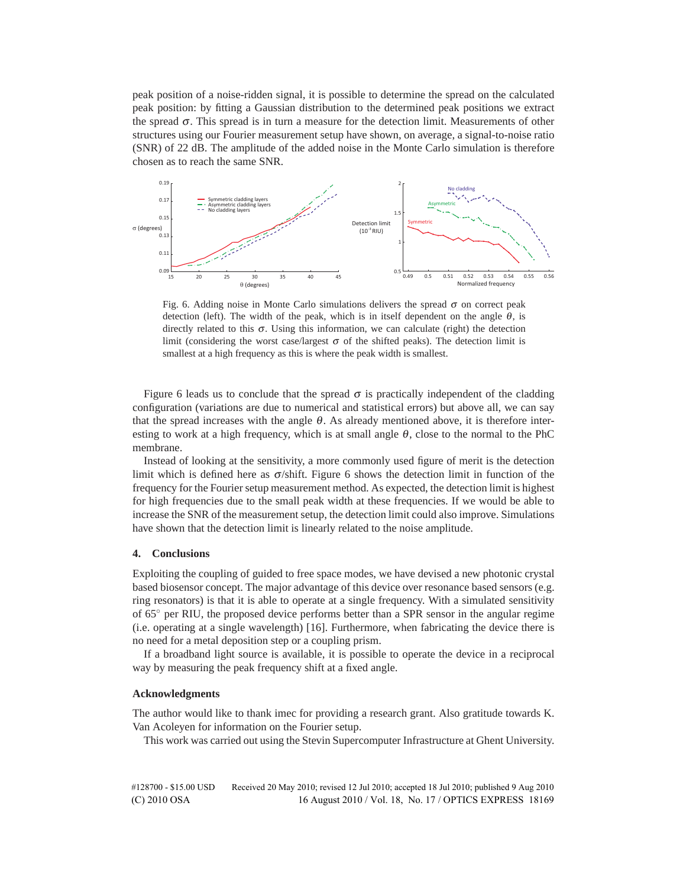peak position of a noise-ridden signal, it is possible to determine the spread on the calculated peak position: by fitting a Gaussian distribution to the determined peak positions we extract the spread <sup>σ</sup>. This spread is in turn a measure for the detection limit. Measurements of other structures using our Fourier measurement setup have shown, on average, a signal-to-noise ratio (SNR) of 22 dB. The amplitude of the added noise in the Monte Carlo simulation is therefore chosen as to reach the same SNR.



Fig. 6. Adding noise in Monte Carlo simulations delivers the spread  $\sigma$  on correct peak detection (left). The width of the peak, which is in itself dependent on the angle  $\theta$ , is directly related to this  $\sigma$ . Using this information, we can calculate (right) the detection limit (considering the worst case/largest  $\sigma$  of the shifted peaks). The detection limit is smallest at a high frequency as this is where the peak width is smallest.

Figure 6 leads us to conclude that the spread  $\sigma$  is practically independent of the cladding configuration (variations are due to numerical and statistical errors) but above all, we can say that the spread increases with the angle  $\theta$ . As already mentioned above, it is therefore interesting to work at a high frequency, which is at small angle  $\theta$ , close to the normal to the PhC membrane.

Instead of looking at the sensitivity, a more commonly used figure of merit is the detection limit which is defined here as  $\sigma$ /shift. Figure 6 shows the detection limit in function of the frequency for the Fourier setup measurement method. As expected, the detection limit is highest for high frequencies due to the small peak width at these frequencies. If we would be able to increase the SNR of the measurement setup, the detection limit could also improve. Simulations have shown that the detection limit is linearly related to the noise amplitude.

## **4. Conclusions**

Exploiting the coupling of guided to free space modes, we have devised a new photonic crystal based biosensor concept. The major advantage of this device over resonance based sensors (e.g. ring resonators) is that it is able to operate at a single frequency. With a simulated sensitivity of 65◦ per RIU, the proposed device performs better than a SPR sensor in the angular regime (i.e. operating at a single wavelength) [16]. Furthermore, when fabricating the device there is no need for a metal deposition step or a coupling prism.

If a broadband light source is available, it is possible to operate the device in a reciprocal way by measuring the peak frequency shift at a fixed angle.

#### **Acknowledgments**

The author would like to thank imec for providing a research grant. Also gratitude towards K. Van Acoleyen for information on the Fourier setup.

This work was carried out using the Stevin Supercomputer Infrastructure at Ghent University.